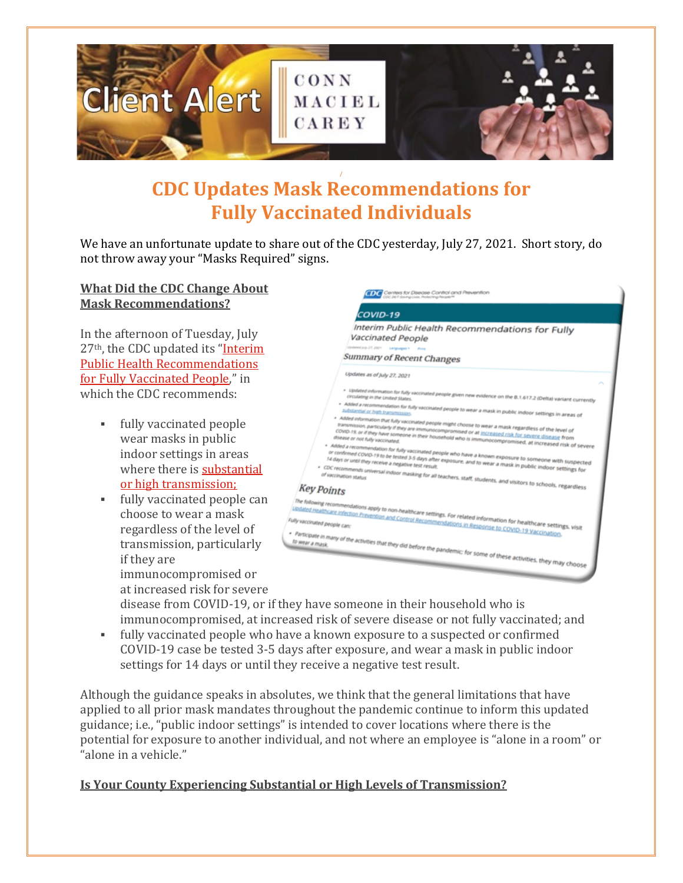

# **/ CDC Updates Mask Recommendations for Fully Vaccinated Individuals**

We have an unfortunate update to share out of the CDC yesterday, July 27, 2021. Short story, do not throw away your "Masks Required" signs.

### **What Did the CDC Change About Mask Recommendations?**

In the afternoon of Tuesday, July 27th, the CDC updated its ["Interim](https://www.cdc.gov/coronavirus/2019-ncov/vaccines/fully-vaccinated-guidance.html) Public Health [Recommendations](https://www.cdc.gov/coronavirus/2019-ncov/vaccines/fully-vaccinated-guidance.html) for Fully [Vaccinated](https://www.cdc.gov/coronavirus/2019-ncov/vaccines/fully-vaccinated-guidance.html) People," in which the CDC recommends:

- fully vaccinated people wear masks in public indoor settings in areas where there is [substantial](https://covid.cdc.gov/covid-data-tracker/#county-view) or high [transmission;](https://covid.cdc.gov/covid-data-tracker/#county-view)
- fully vaccinated people can choose to wear a mask regardless of the level of transmission, particularly if they are immunocompromised or

at increased risk for severe



disease from COVID-19, or if they have someone in their household who is immunocompromised, at increased risk of severe disease or not fully vaccinated; and

 fully vaccinated people who have a known exposure to a suspected or confirmed COVID-19 case be tested 3-5 days after exposure, and wear a mask in public indoor settings for 14 days or until they receive a negative test result.

Although the guidance speaks in absolutes, we think that the general limitations that have applied to all prior mask mandates throughout the pandemic continue to inform this updated guidance; i.e., "public indoor settings" is intended to cover locations where there is the potential for exposure to another individual, and not where an employee is "alone in a room" or "alone in a vehicle."

### **Is Your County Experiencing Substantial or High Levels of Transmission?**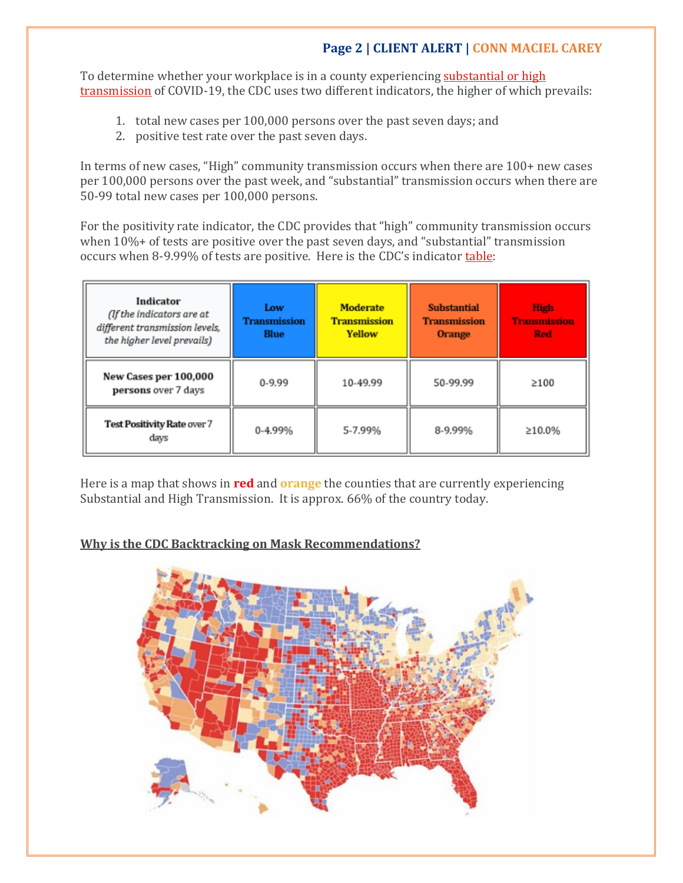# **Page 2 | CLIENT ALERT | CONN MACIEL CAREY**

To determine whether your workplace is in a county experiencing [substantial](https://covid.cdc.gov/covid-data-tracker/#county-view) or high [transmission](https://covid.cdc.gov/covid-data-tracker/#county-view) of COVID-19, the CDC uses two different indicators, the higher of which prevails:

- 1. total new cases per 100,000 persons over the past seven days; and
- 2. positive test rate over the past seven days.

In terms of new cases, "High" community transmission occurs when there are 100+ new cases per 100,000 persons over the past week, and "substantial" transmission occurs when there are 50-99 total new cases per 100,000 persons.

For the positivity rate indicator, the CDC provides that "high" community transmission occurs when 10%+ of tests are positive over the past seven days, and "substantial" transmission occurs when 8-9.99% of tests are positive. Here is the CDC's indicator [table:](https://covid.cdc.gov/covid-data-tracker/#county-view)

| Indicator<br>(If the indicators are at<br>different transmission levels,<br>the higher level prevails) | Low<br><b>Transmission</b><br><b>Blue</b> | <b>Moderate</b><br><b>Transmission</b><br>Yellow | <b>Substantial</b><br><b>Transmission</b><br><b>Orange</b> | <b>High</b><br><b>Transmission</b><br><b>Red</b> |
|--------------------------------------------------------------------------------------------------------|-------------------------------------------|--------------------------------------------------|------------------------------------------------------------|--------------------------------------------------|
| New Cases per 100,000<br>persons over 7 days                                                           | $0 - 9.99$                                | 10-49.99                                         | 50-99.99                                                   | >100                                             |
| Test Positivity Rate over 7<br>days                                                                    | 0-4.99%                                   | 5-7.99%                                          | 8-9.99%                                                    | ≥10.0%                                           |

Here is a map that shows in **red** and **orange** the counties that are currently experiencing Substantial and High Transmission. It is approx. 66% of the country today.

### **Why is the CDC Backtracking on Mask Recommendations?**

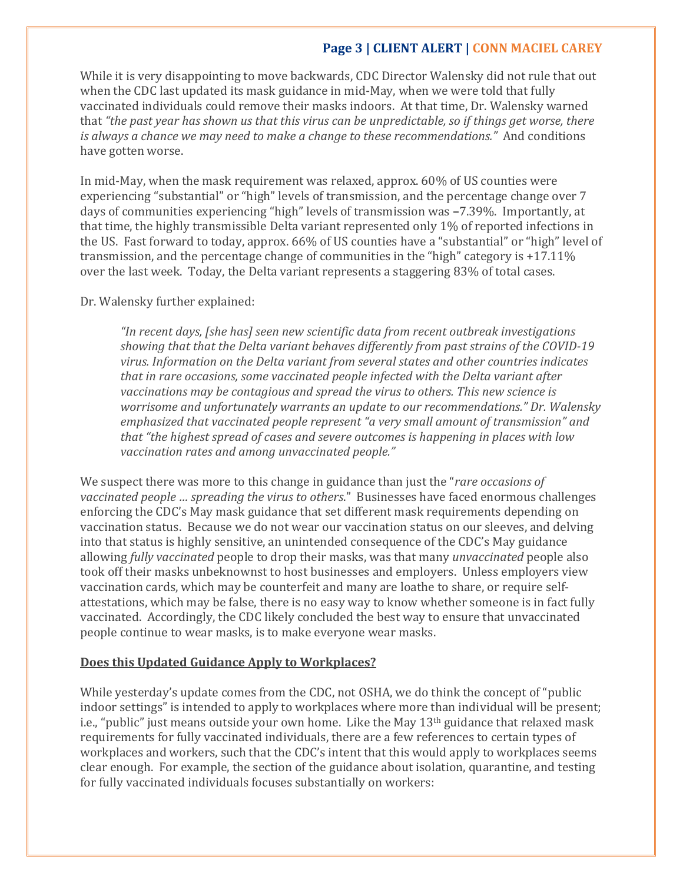## **Page 3 | CLIENT ALERT | CONN MACIEL CAREY**

While it is very disappointing to move backwards, CDC Director Walensky did not rule that out when the CDC last updated its mask guidance in mid-May, when we were told that fully vaccinated individuals could remove their masks indoors. At that time, Dr. Walensky warned that "the past year has shown us that this virus can be unpredictable, so if things get worse, there *is always a chance we may need to make a change to these recommendations."* And conditions have gotten worse.

In mid-May, when the mask requirement was relaxed, approx. 60% of US counties were experiencing "substantial" or "high" levels of transmission, and the percentage change over 7 days of communities experiencing "high" levels of transmission was **–**7.39%. Importantly, at that time, the highly transmissible Delta variant represented only 1% of reported infections in the US. Fast forward to today, approx. 66% of US counties have a "substantial" or "high" level of transmission, and the percentage change of communities in the "high" category is +17.11% over the last week. Today, the Delta variant represents a staggering 83% of total cases.

#### Dr. Walensky further explained:

*"In recent days, [she has] seen new scientific data from recent outbreak investigations showing that that the Delta variant behaves differently from past strains of the COVID-19 virus. Information on the Delta variant from several states and other countries indicates that in rare occasions, some vaccinated people infected with the Delta variant after vaccinations may be contagious and spread the virus to others. This new science is worrisome and unfortunately warrants an update to our recommendations." Dr. Walensky emphasized that vaccinated people represent "a very small amount of transmission" and that "the highest spread of cases and severe outcomes is happening in places with low vaccination rates and among unvaccinated people."*

We suspect there was more to this change in guidance than just the "*rare occasions of vaccinated people … spreading the virus to others*." Businesses have faced enormous challenges enforcing the CDC's May mask guidance that set different mask requirements depending on vaccination status. Because we do not wear our vaccination status on our sleeves, and delving into that status is highly sensitive, an unintended consequence of the CDC's May guidance allowing *fully vaccinated* people to drop their masks, was that many *unvaccinated* people also took off their masks unbeknownst to host businesses and employers. Unless employers view vaccination cards, which may be counterfeit and many are loathe to share, or require selfattestations, which may be false, there is no easy way to know whether someone is in fact fully vaccinated. Accordingly, the CDC likely concluded the best way to ensure that unvaccinated people continue to wear masks, is to make everyone wear masks.

### **Does this Updated Guidance Apply to Workplaces?**

While yesterday's update comes from the CDC, not OSHA, we do think the concept of "public indoor settings" is intended to apply to workplaces where more than individual will be present; i.e., "public" just means outside your own home. Like the May 13<sup>th</sup> guidance that relaxed mask requirements for fully vaccinated individuals, there are a few references to certain types of workplaces and workers, such that the CDC's intent that this would apply to workplaces seems clear enough. For example, the section of the guidance about isolation, quarantine, and testing for fully vaccinated individuals focuses substantially on workers: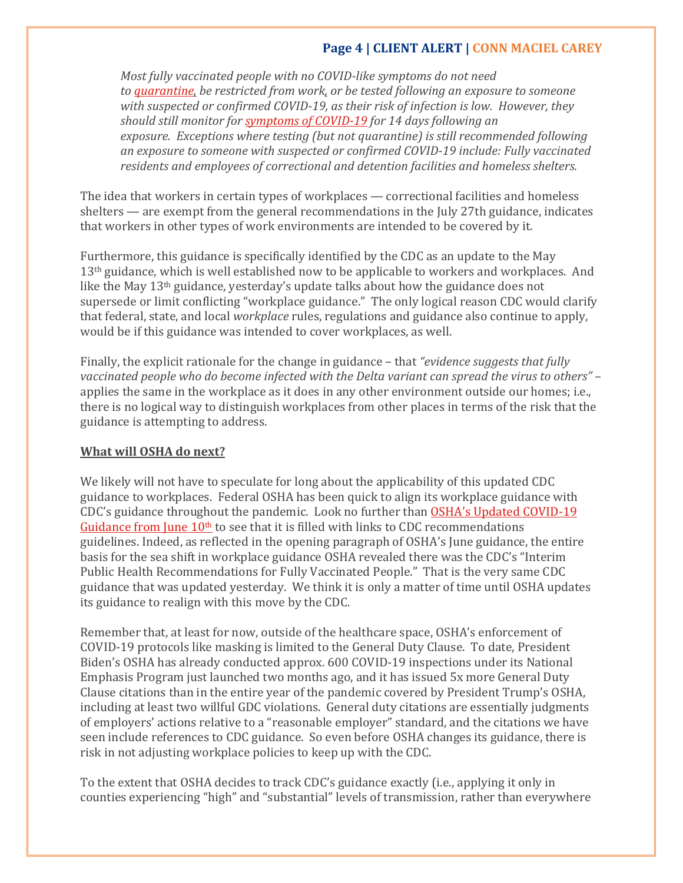## **Page 4 | CLIENT ALERT | CONN MACIEL CAREY**

*Most fully vaccinated people with no COVID-like symptoms do not need to [quarantine,](https://www.cdc.gov/coronavirus/2019-ncov/if-you-are-sick/quarantine.html) be restricted from work, or be tested following an exposure to someone with suspected or confirmed COVID-19, as their risk of infection is low. However, they should still monitor for [symptoms](https://www.cdc.gov/coronavirus/2019-ncov/symptoms-testing/symptoms.html) of COVID-19 for 14 days following an exposure. Exceptions where testing (but not quarantine) is still recommended following an exposure to someone with suspected or confirmed COVID-19 include: Fully vaccinated residents and employees of correctional and detention facilities and homeless shelters.*

The idea that workers in certain types of workplaces — correctional facilities and homeless shelters — are exempt from the general recommendations in the July 27th guidance, indicates that workers in other types of work environments are intended to be covered by it.

Furthermore, this guidance is specifically identified by the CDC as an update to the May 13<sup>th</sup> guidance, which is well established now to be applicable to workers and workplaces. And like the May  $13<sup>th</sup>$  guidance, yesterday's update talks about how the guidance does not supersede or limit conflicting "workplace guidance." The only logical reason CDC would clarify that federal, state, and local *workplace* rules, regulations and guidance also continue to apply, would be if this guidance was intended to cover workplaces, as well.

Finally, the explicit rationale for the change in guidance – that *"evidence suggests that fully vaccinated people who do become infected with the Delta variant can spread the virus to others"* – applies the same in the workplace as it does in any other environment outside our homes; i.e., there is no logical way to distinguish workplaces from other places in terms of the risk that the guidance is attempting to address.

### **What will OSHA do next?**

We likely will not have to speculate for long about the applicability of this updated CDC guidance to workplaces. Federal OSHA has been quick to align its workplace guidance with CDC's guidance throughout the pandemic. Look no further than OSHA's Updated [COVID-19](https://oshadefensereport.com/2021/06/11/in-lieu-of-a-covid-19-ets-applicable-to-all-industries-fed-osha-updated-its-covid-19-guidance/) [Guidance](https://oshadefensereport.com/2021/06/11/in-lieu-of-a-covid-19-ets-applicable-to-all-industries-fed-osha-updated-its-covid-19-guidance/) from June  $10<sup>th</sup>$  to see that it is filled with links to CDC recommendations guidelines. Indeed, as reflected in the opening paragraph of OSHA's June guidance, the entire basis for the sea shift in workplace guidance OSHA revealed there was the CDC's "Interim Public Health Recommendations for Fully Vaccinated People." That is the very same CDC guidance that was updated yesterday. We think it is only a matter of time until OSHA updates its guidance to realign with this move by the CDC.

Remember that, at least for now, outside of the healthcare space, OSHA's enforcement of COVID-19 protocols like masking is limited to the General Duty Clause. To date, President Biden's OSHA has already conducted approx. 600 COVID-19 inspections under its National Emphasis Program just launched two months ago, and it has issued 5x more General Duty Clause citations than in the entire year of the pandemic covered by President Trump's OSHA, including at least two willful GDC violations. General duty citations are essentially judgments of employers' actions relative to a "reasonable employer" standard, and the citations we have seen include references to CDC guidance. So even before OSHA changes its guidance, there is risk in not adjusting workplace policies to keep up with the CDC.

To the extent that OSHA decides to track CDC's guidance exactly (i.e., applying it only in counties experiencing "high" and "substantial" levels of transmission, rather than everywhere